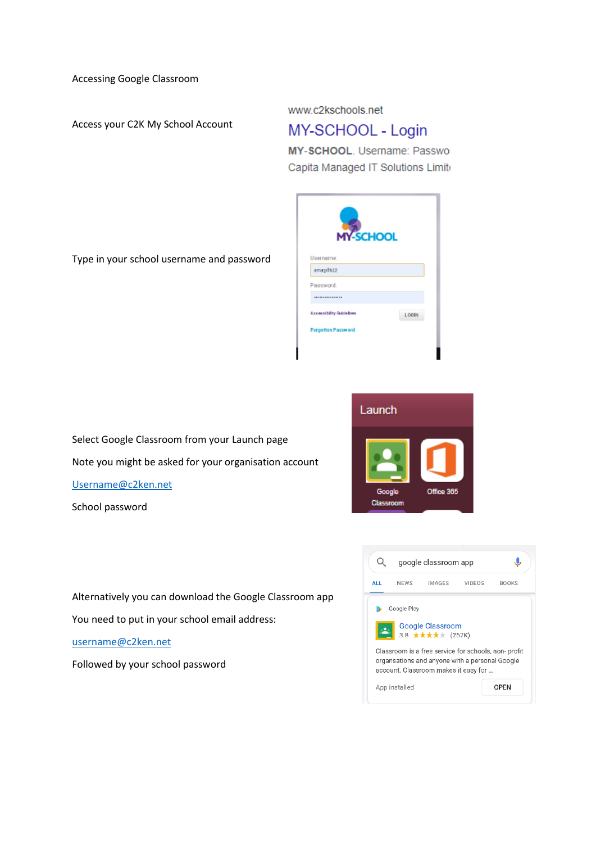Accessing Google Classroom

Access your C2K My School Account

www.c2kschools.net

Username amagill622 Password.  $...............$ **Accessibility Guidelines** 

**Forgotten Password** 

## MY-SCHOOL - Login

MY-SCHOOL. Username: Passwol Capita Managed IT Solutions Limite



LOGIN



Select Google Classroom from your Launch page Note you might be asked for your organisation account [Username@c2ken.net](mailto:Username@c2ken.net)

School password

Alternatively you can download the Google Classroom app You need to put in your school email address: [username@c2ken.net](mailto:username@c2ken.net) Followed by your school password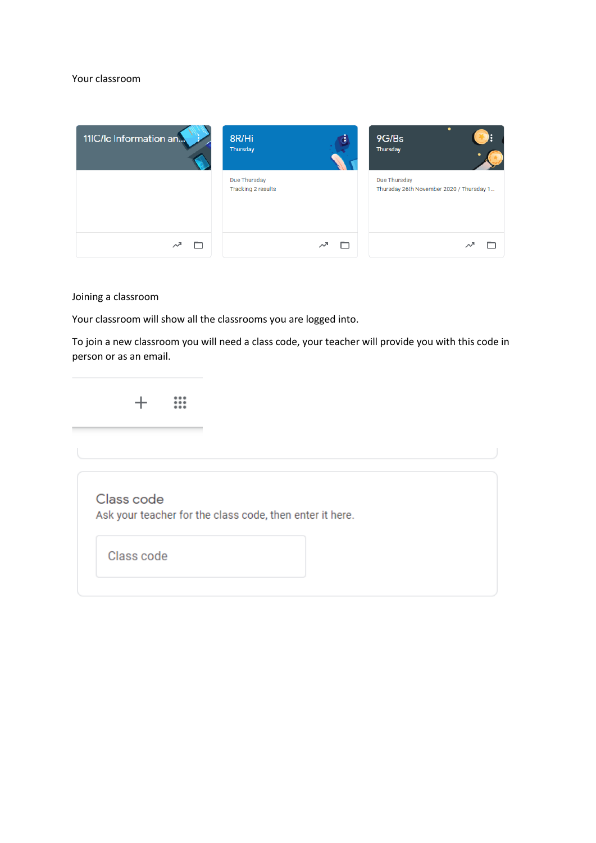#### Your classroom



Joining a classroom

Your classroom will show all the classrooms you are logged into.

To join a new classroom you will need a class code, your teacher will provide you with this code in person or as an email.

> $\mathbf{ii}$  $+$

Class code Ask your teacher for the class code, then enter it here.

Class code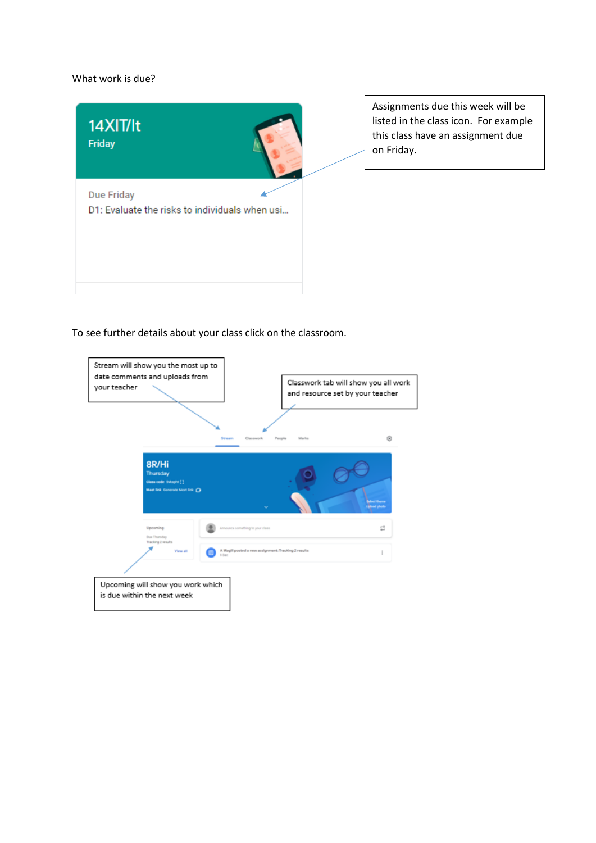#### What work is due?



Assignments due this week will be listed in the class icon. For example this class have an assignment due on Friday.

To see further details about your class click on the classroom.

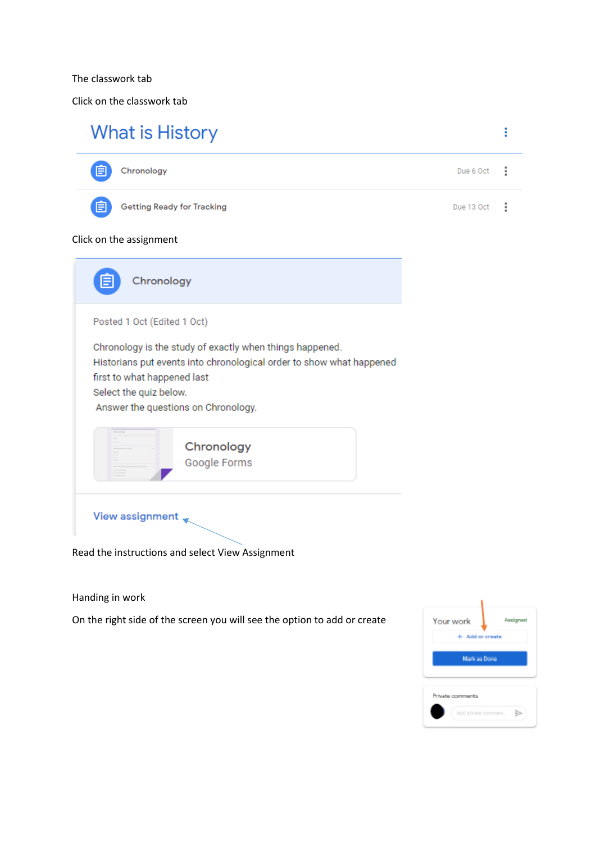The classwork tab

Click on the classwork tab

# **What is History**



Handing in work

On the right side of the screen you will see the option to add or create

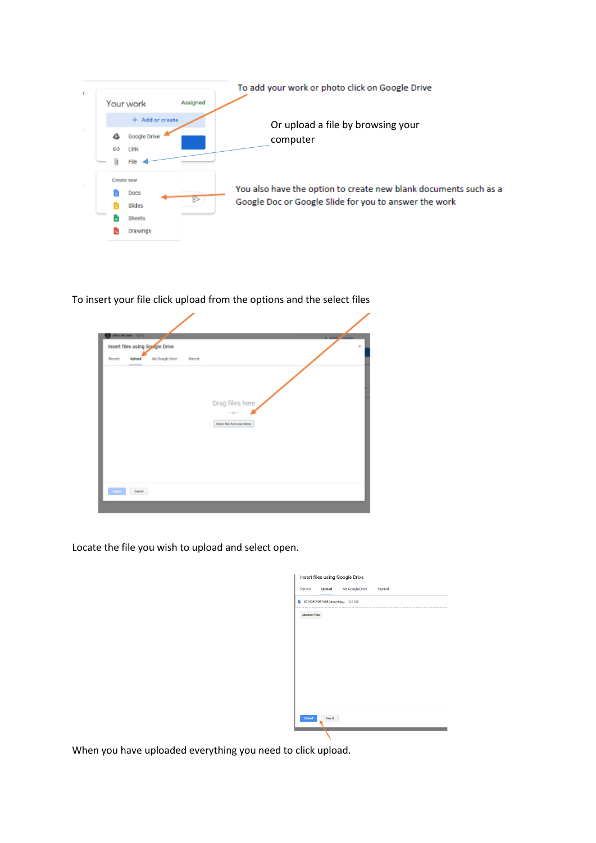

To insert your file click upload from the options and the select files

| Insert files using Google Drive |        |                 |         |                                        |  |  |
|---------------------------------|--------|-----------------|---------|----------------------------------------|--|--|
| Recent                          | Upload | My Google Drive | Starred |                                        |  |  |
|                                 |        |                 |         |                                        |  |  |
|                                 |        |                 |         |                                        |  |  |
|                                 |        |                 |         | Drag files here                        |  |  |
|                                 |        |                 |         | $-10 -$<br>Belezz Mex from your divise |  |  |
|                                 |        |                 |         |                                        |  |  |
|                                 |        |                 |         |                                        |  |  |
|                                 |        |                 |         |                                        |  |  |
|                                 |        |                 |         |                                        |  |  |
|                                 |        |                 |         |                                        |  |  |

Locate the file you wish to upload and select open.

| Recent         | Upload My Google Drive Starred    |  |
|----------------|-----------------------------------|--|
|                | 20190909091608Capture.jpg 224.35K |  |
| Add more files |                                   |  |
|                |                                   |  |
|                |                                   |  |
|                |                                   |  |
|                |                                   |  |
|                |                                   |  |
|                |                                   |  |
|                |                                   |  |
|                |                                   |  |
|                |                                   |  |
|                |                                   |  |
|                |                                   |  |
|                |                                   |  |

When you have uploaded everything you need to click upload.